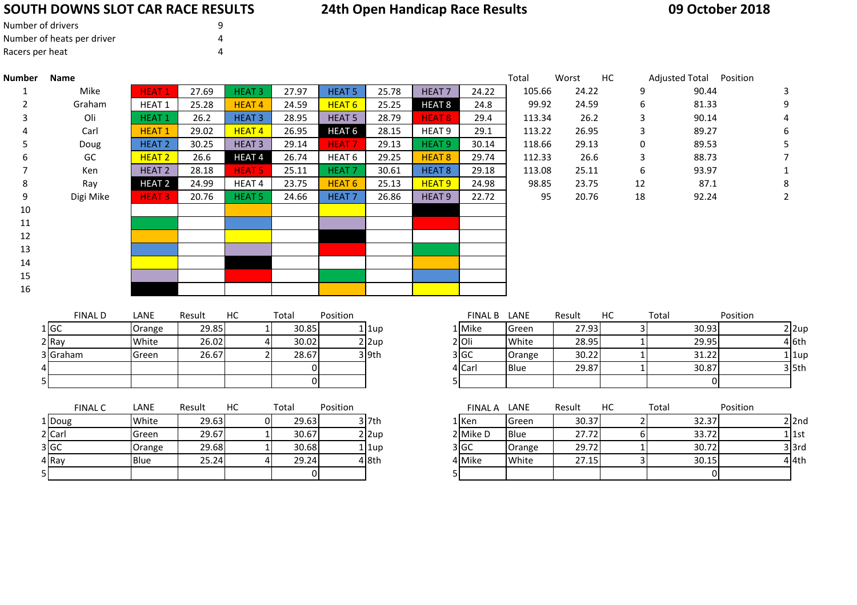## **SOUTH DOWNS SLOT CAR RACE RESULTS**

## **24th Open Handicap Race Results**

| Number of drivers          | q |
|----------------------------|---|
| Number of heats per driver | 4 |
| Racers per heat            | Δ |

| Number | Name      |                   |       |                   |       |                   |       |                   |       | Total  | Worst | HС | Adjusted Total Position |  |
|--------|-----------|-------------------|-------|-------------------|-------|-------------------|-------|-------------------|-------|--------|-------|----|-------------------------|--|
|        | Mike      | <b>HEAT1</b>      | 27.69 | <b>HEAT 3</b>     | 27.97 | <b>HEAT 5</b>     | 25.78 | <b>HEAT7</b>      | 24.22 | 105.66 | 24.22 | 9  | 90.44                   |  |
| 2      | Graham    | <b>HEAT 1</b>     | 25.28 | <b>HEAT4</b>      | 24.59 | <b>HEAT 6</b>     | 25.25 | <b>HEAT 8</b>     | 24.8  | 99.92  | 24.59 | 6  | 81.33                   |  |
| 3      | Oli       | HEAT <sub>1</sub> | 26.2  | <b>HEAT 3</b>     | 28.95 | <b>HEAT 5</b>     | 28.79 | <b>HEAT 8</b>     | 29.4  | 113.34 | 26.2  | 3  | 90.14                   |  |
|        | Carl      | <b>HEAT1</b>      | 29.02 | <b>HEAT4</b>      | 26.95 | HEAT <sub>6</sub> | 28.15 | HEAT <sub>9</sub> | 29.1  | 113.22 | 26.95 | 3  | 89.27                   |  |
|        | Doug      | HEAT <sub>2</sub> | 30.25 | HEAT <sub>3</sub> | 29.14 | <b>HEAT7</b>      | 29.13 | HEAT <sub>9</sub> | 30.14 | 118.66 | 29.13 | 0  | 89.53                   |  |
| 6      | GC        | <b>HEAT 2</b>     | 26.6  | <b>HEAT4</b>      | 26.74 | HEAT 6            | 29.25 | HEAT <sub>8</sub> | 29.74 | 112.33 | 26.6  | 3  | 88.73                   |  |
|        | Ken       | HEAT <sub>2</sub> | 28.18 | <b>HEAT 5</b>     | 25.11 | <b>HEAT 7</b>     | 30.61 | <b>HEAT 8</b>     | 29.18 | 113.08 | 25.11 | 6  | 93.97                   |  |
| 8      | Ray       | <b>HEAT 2</b>     | 24.99 | HEAT 4            | 23.75 | HEAT <sub>6</sub> | 25.13 | HEAT <sub>9</sub> | 24.98 | 98.85  | 23.75 | 12 | 87.1                    |  |
| 9      | Digi Mike | <b>HEAT 3</b>     | 20.76 | HEAT <sub>5</sub> | 24.66 | <b>HEAT7</b>      | 26.86 | HEAT <sub>9</sub> | 22.72 | 95     | 20.76 | 18 | 92.24                   |  |
| 10     |           |                   |       |                   |       |                   |       |                   |       |        |       |    |                         |  |
| 11     |           |                   |       |                   |       |                   |       |                   |       |        |       |    |                         |  |
| 12     |           |                   |       |                   |       |                   |       |                   |       |        |       |    |                         |  |
| 13     |           |                   |       |                   |       |                   |       |                   |       |        |       |    |                         |  |
| 14     |           |                   |       |                   |       |                   |       |                   |       |        |       |    |                         |  |
| 15     |           |                   |       |                   |       |                   |       |                   |       |        |       |    |                         |  |
| 16     |           |                   |       |                   |       |                   |       |                   |       |        |       |    |                         |  |
|        |           |                   |       |                   |       |                   |       |                   |       |        |       |    |                         |  |

|   | <b>FINAL D</b> | LANE   | Result | HС | Total | Position |         |
|---|----------------|--------|--------|----|-------|----------|---------|
|   | 1 GC           | Orange | 29.85  |    | 30.85 |          | 1 1up   |
|   | 2 Ray          | White  | 26.02  |    | 30.02 |          | 2 2up   |
|   | 3 Graham       | Green  | 26.67  |    | 28.67 |          | $3$ 9th |
| 4 |                |        |        |    |       |          |         |
| 5 |                |        |        |    |       |          |         |

|        | <b>FINAL C</b> | LANE         | Result | НC | Total | Position |          | <b>FINAL A</b> | LANE         | Result | НC | Total |
|--------|----------------|--------------|--------|----|-------|----------|----------|----------------|--------------|--------|----|-------|
| 1 Doug |                | White        | 29.63  |    | 29.63 |          | 3 7th    | 1 Ken          | <b>Green</b> | 30.37  |    | 32.37 |
| 2 Carl |                | <b>Green</b> | 29.67  |    | 30.67 |          | $2$  2up | 2 Mike D       | <b>Blue</b>  | 27.72  |    | 33.72 |
| 3 GC   |                | Orange       | 29.68  |    | 30.68 |          | 1 1up    | 3 GC           | Orange       | 29.72  |    | 30.72 |
| 4 Ray  |                | <b>Blue</b>  | 25.24  |    | 29.24 |          | 4 8th    | 4 Mike         | White        | 27.15  |    | 30.15 |
| 5      |                |              |        |    |       |          |          |                |              |        |    |       |

| <b>FINAL D</b> | LANE   | Result | НC | Total | Position |              | <b>FINAL B</b> | LANE        | Result | HC | Total | Position |
|----------------|--------|--------|----|-------|----------|--------------|----------------|-------------|--------|----|-------|----------|
| 1 IGC          | Orange | 29.85  |    | 30.85 |          | 1 1up        | L Mike         | Green       | 27.93  |    | 30.93 | $2$  2up |
| 2 Ray          | White  | 26.02  |    | 30.02 |          | $2 \times 2$ | 2 Oli          | White       | 28.95  |    | 29.95 | 4 l6th   |
| 3 Graham       | Green  | 26.67  |    | 28.67 |          | $3$ 9th      | 3 GC           | Orange      | 30.22  |    | 31.22 | 1 1up    |
|                |        |        |    |       |          |              | 4 Carl         | <b>Blue</b> | 29.87  |    | 30.87 | 3 l5th   |
|                |        |        |    |       |          |              |                |             |        |    |       |          |

| <b>FINAL C</b> | LANE   | Result | НC | Total | Position |              | <b>FINAL A</b> | <b>LANE</b> | Result | НC | Total | Position |
|----------------|--------|--------|----|-------|----------|--------------|----------------|-------------|--------|----|-------|----------|
| oug            | White  | 29.63  |    | 29.63 |          | $3$ 7th      | 1   Ken        | Green       | 30.37  |    | 32.37 | $2$  2nd |
|                | Green  | 29.67  |    | 30.67 |          | $2 \times 2$ | 2 Mike D       | Blue        | 27.72  |    | 33.72 | 1   1st  |
|                | Orange | 29.68  |    | 30.68 |          | 1 1up        | 3 GC           | Orange      | 29.72  |    | 30.72 | $3$ 3rd  |
|                | Blue   | 25.24  |    | 29.24 |          | 4 8th        | 4 Mike         | White       | 27.15  |    | 30.15 | 4 I4th   |
|                |        |        |    | ΩI    |          |              |                |             |        |    |       |          |